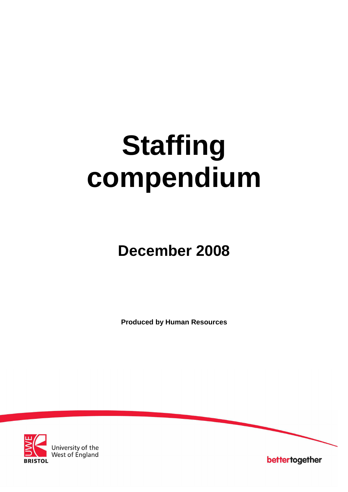# **Staffing compendium**

# **December 2008**

**Produced by Human Resources**



University of the<br>West of England

bettertogether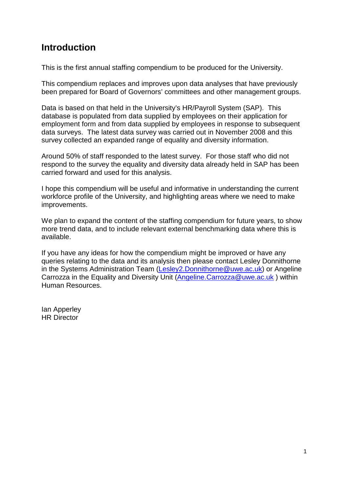# **Introduction**

This is the first annual staffing compendium to be produced for the University.

This compendium replaces and improves upon data analyses that have previously been prepared for Board of Governors' committees and other management groups.

Data is based on that held in the University's HR/Payroll System (SAP). This database is populated from data supplied by employees on their application for employment form and from data supplied by employees in response to subsequent data surveys. The latest data survey was carried out in November 2008 and this survey collected an expanded range of equality and diversity information.

Around 50% of staff responded to the latest survey. For those staff who did not respond to the survey the equality and diversity data already held in SAP has been carried forward and used for this analysis.

I hope this compendium will be useful and informative in understanding the current workforce profile of the University, and highlighting areas where we need to make improvements.

We plan to expand the content of the staffing compendium for future years, to show more trend data, and to include relevant external benchmarking data where this is available.

If you have any ideas for how the compendium might be improved or have any queries relating to the data and its analysis then please contact Lesley Donnithorne in the Systems Administration Team (Lesley2.Donnithorne@uwe.ac.uk) or Angeline Carrozza in the Equality and Diversity Unit (Angeline.Carrozza@uwe.ac.uk ) within Human Resources.

Ian Apperley HR Director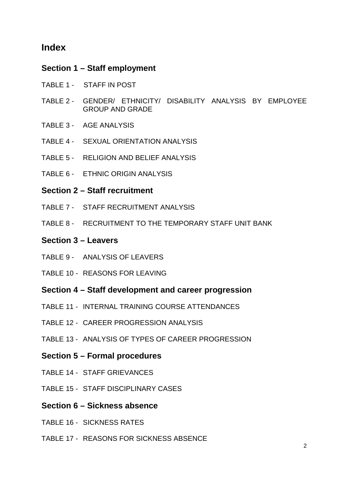# **Index**

# **Section 1 – Staff employment**

- TABLE 1 STAFF IN POST
- TABLE 2 GENDER/ ETHNICITY/ DISABILITY ANALYSIS BY EMPLOYEE GROUP AND GRADE
- TABLE 3 AGE ANALYSIS
- TABLE 4 SEXUAL ORIENTATION ANALYSIS
- TABLE 5 RELIGION AND BELIEF ANALYSIS
- TABLE 6 ETHNIC ORIGIN ANALYSIS
- **Section 2 – Staff recruitment**
- TABLE 7 STAFF RECRUITMENT ANALYSIS
- TABLE 8 RECRUITMENT TO THE TEMPORARY STAFF UNIT BANK

# **Section 3 – Leavers**

- TABLE 9 ANALYSIS OF LEAVERS
- TABLE 10 REASONS FOR LEAVING
- **Section 4 – Staff development and career progression**
- TABLE 11 INTERNAL TRAINING COURSE ATTENDANCES
- TABLE 12 CAREER PROGRESSION ANALYSIS
- TABLE 13 ANALYSIS OF TYPES OF CAREER PROGRESSION
- **Section 5 – Formal procedures**
- TABLE 14 STAFF GRIEVANCES
- TABLE 15 STAFF DISCIPLINARY CASES
- **Section 6 – Sickness absence**
- TABLE 16 SICKNESS RATES
- TABLE 17 REASONS FOR SICKNESS ABSENCE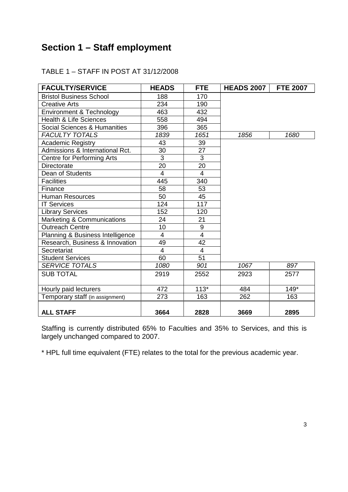# **Section 1 – Staff employment**

| <b>FACULTY/SERVICE</b>            | <b>HEADS</b>            | <b>FTE</b>     | <b>HEADS 2007</b> | <b>FTE 2007</b> |
|-----------------------------------|-------------------------|----------------|-------------------|-----------------|
| <b>Bristol Business School</b>    | 188                     | 170            |                   |                 |
| <b>Creative Arts</b>              | 234                     | 190            |                   |                 |
| Environment & Technology          | 463                     | 432            |                   |                 |
| <b>Health &amp; Life Sciences</b> | 558                     | 494            |                   |                 |
| Social Sciences & Humanities      | 396                     | 365            |                   |                 |
| <b>FACULTY TOTALS</b>             | 1839                    | 1651           | 1856              | 1680            |
| <b>Academic Registry</b>          | 43                      | 39             |                   |                 |
| Admissions & International Rct.   | 30                      | 27             |                   |                 |
| <b>Centre for Performing Arts</b> | $\overline{3}$          | $\overline{3}$ |                   |                 |
| Directorate                       | 20                      | 20             |                   |                 |
| Dean of Students                  | $\overline{\mathbf{4}}$ | $\overline{4}$ |                   |                 |
| <b>Facilities</b>                 | 445                     | 340            |                   |                 |
| Finance                           | 58                      | 53             |                   |                 |
| <b>Human Resources</b>            | 50                      | 45             |                   |                 |
| <b>IT Services</b>                | 124                     | 117            |                   |                 |
| <b>Library Services</b>           | 152                     | 120            |                   |                 |
| Marketing & Communications        | 24                      | 21             |                   |                 |
| <b>Outreach Centre</b>            | 10                      | $\overline{9}$ |                   |                 |
| Planning & Business Intelligence  | $\overline{\mathbf{4}}$ | $\overline{4}$ |                   |                 |
| Research, Business & Innovation   | 49                      | 42             |                   |                 |
| Secretariat                       | $\overline{4}$          | $\overline{4}$ |                   |                 |
| <b>Student Services</b>           | 60                      | 51             |                   |                 |
| <b>SERVICE TOTALS</b>             | 1080                    | 901            | 1067              | 897             |
| <b>SUB TOTAL</b>                  | 2919                    | 2552           | 2923              | 2577            |
| Hourly paid lecturers             | 472                     | $113*$         | 484               | $149*$          |
| Temporary staff (in assignment)   | 273                     | 163            | 262               | 163             |
| <b>ALL STAFF</b>                  | 3664                    | 2828           | 3669              | 2895            |

### TABLE 1 – STAFF IN POST AT 31/12/2008

Staffing is currently distributed 65% to Faculties and 35% to Services, and this is largely unchanged compared to 2007.

\* HPL full time equivalent (FTE) relates to the total for the previous academic year.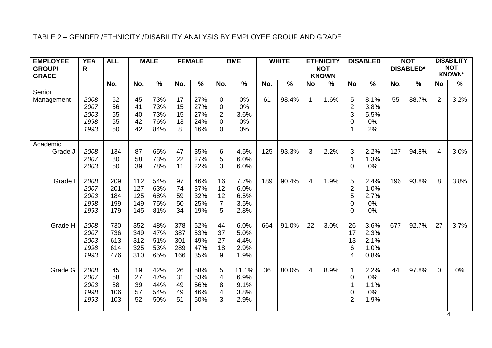### TABLE 2 – GENDER /ETHNICITY /DISABILITY ANALYSIS BY EMPLOYEE GROUP AND GRADE

| <b>EMPLOYEE</b> | <b>YEA</b> | <b>ALL</b> |     | <b>MALE</b>   |     | <b>FEMALE</b> |                         | <b>BME</b>    |     | <b>WHITE</b>             |                | <b>ETHNICITY</b>         |                  | <b>DISABLED</b> |     | <b>NOT</b>       |                | <b>DISABILITY</b>           |
|-----------------|------------|------------|-----|---------------|-----|---------------|-------------------------|---------------|-----|--------------------------|----------------|--------------------------|------------------|-----------------|-----|------------------|----------------|-----------------------------|
| <b>GROUP/</b>   | R          |            |     |               |     |               |                         |               |     |                          |                | <b>NOT</b>               |                  |                 |     | <b>DISABLED*</b> |                | <b>NOT</b><br><b>KNOWN*</b> |
| <b>GRADE</b>    |            |            |     |               |     |               |                         |               |     |                          |                | <b>KNOWN</b>             |                  |                 |     |                  |                |                             |
|                 |            | No.        | No. | $\frac{9}{6}$ | No. | $\frac{9}{6}$ | No.                     | $\frac{9}{6}$ | No. | $\overline{\frac{9}{6}}$ | <b>No</b>      | $\overline{\frac{9}{6}}$ | <b>No</b>        | $\frac{9}{6}$   | No. | $\frac{1}{2}$    | <b>No</b>      | $\frac{1}{2}$               |
| Senior          |            |            |     |               |     |               |                         |               |     |                          |                |                          |                  |                 |     |                  |                |                             |
| Management      | 2008       | 62         | 45  | 73%           | 17  | 27%           | $\pmb{0}$               | 0%            | 61  | 98.4%                    | $\mathbf{1}$   | 1.6%                     | 5                | 8.1%            | 55  | 88.7%            | $\overline{2}$ | 3.2%                        |
|                 | 2007       | 56         | 41  | 73%           | 15  | 27%           | 0                       | 0%            |     |                          |                |                          | $\overline{2}$   | 3.8%            |     |                  |                |                             |
|                 | 2003       | 55         | 40  | 73%           | 15  | 27%           | $\overline{2}$          | 3.6%          |     |                          |                |                          | 3                | 5.5%            |     |                  |                |                             |
|                 | 1998       | 55         | 42  | 76%           | 13  | 24%           | $\pmb{0}$               | 0%            |     |                          |                |                          | $\pmb{0}$        | 0%              |     |                  |                |                             |
|                 | 1993       | 50         | 42  | 84%           | 8   | 16%           | $\overline{0}$          | 0%            |     |                          |                |                          | $\mathbf 1$      | 2%              |     |                  |                |                             |
| Academic        |            |            |     |               |     |               |                         |               |     |                          |                |                          |                  |                 |     |                  |                |                             |
| Grade J         | 2008       | 134        | 87  | 65%           | 47  | 35%           | 6                       | 4.5%          | 125 | 93.3%                    | 3              | 2.2%                     | 3                | 2.2%            | 127 | 94.8%            | $\overline{4}$ | 3.0%                        |
|                 | 2007       | 80         | 58  | 73%           | 22  | 27%           | 5                       | 6.0%          |     |                          |                |                          | $\mathbf 1$      | 1.3%            |     |                  |                |                             |
|                 | 2003       | 50         | 39  | 78%           | 11  | 22%           | 3                       | 6.0%          |     |                          |                |                          | $\mathbf 0$      | 0%              |     |                  |                |                             |
|                 |            |            |     |               |     |               |                         |               |     |                          |                |                          |                  |                 |     |                  |                |                             |
| Grade I         | 2008       | 209        | 112 | 54%           | 97  | 46%           | 16                      | 7.7%          | 189 | 90.4%                    | $\overline{4}$ | 1.9%                     | 5                | 2.4%            | 196 | 93.8%            | 8              | 3.8%                        |
|                 | 2007       | 201        | 127 | 63%           | 74  | 37%           | 12                      | 6.0%          |     |                          |                |                          | $\overline{2}$   | 1.0%            |     |                  |                |                             |
|                 | 2003       | 184        | 125 | 68%           | 59  | 32%           | 12                      | 6.5%          |     |                          |                |                          | 5                | 2.7%            |     |                  |                |                             |
|                 | 1998       | 199        | 149 | 75%           | 50  | 25%           | $\overline{7}$          | 3.5%          |     |                          |                |                          | $\boldsymbol{0}$ | 0%              |     |                  |                |                             |
|                 | 1993       | 179        | 145 | 81%           | 34  | 19%           | 5                       | 2.8%          |     |                          |                |                          | 0                | 0%              |     |                  |                |                             |
| Grade H         | 2008       | 730        | 352 | 48%           | 378 | 52%           | 44                      | 6.0%          | 664 | 91.0%                    | 22             | 3.0%                     | 26               | 3.6%            | 677 | 92.7%            | 27             | 3.7%                        |
|                 | 2007       | 736        | 349 | 47%           | 387 | 53%           | 37                      | 5.0%          |     |                          |                |                          | 17               | 2.3%            |     |                  |                |                             |
|                 | 2003       | 613        | 312 | 51%           | 301 | 49%           | 27                      | 4.4%          |     |                          |                |                          | 13               | 2.1%            |     |                  |                |                             |
|                 | 1998       | 614        | 325 | 53%           | 289 | 47%           | 18                      | 2.9%          |     |                          |                |                          | 6                | 1.0%            |     |                  |                |                             |
|                 | 1993       | 476        | 310 | 65%           | 166 | 35%           | 9                       | 1.9%          |     |                          |                |                          | $\overline{4}$   | 0.8%            |     |                  |                |                             |
|                 |            |            |     |               |     |               |                         |               |     |                          |                |                          |                  |                 |     |                  |                |                             |
| Grade G         | 2008       | 45         | 19  | 42%           | 26  | 58%           | 5                       | 11.1%         | 36  | 80.0%                    | $\overline{4}$ | 8.9%                     | $\mathbf 1$      | 2.2%            | 44  | 97.8%            | $\mathbf 0$    | 0%                          |
|                 | 2007       | 58         | 27  | 47%           | 31  | 53%           | $\overline{\mathbf{4}}$ | 6.9%          |     |                          |                |                          | $\mathbf 0$      | 0%              |     |                  |                |                             |
|                 | 2003       | 88         | 39  | 44%           | 49  | 56%           | 8                       | 9.1%          |     |                          |                |                          | $\overline{1}$   | 1.1%            |     |                  |                |                             |
|                 | 1998       | 106        | 57  | 54%           | 49  | 46%           | $\overline{\mathbf{4}}$ | 3.8%          |     |                          |                |                          | $\mathbf 0$      | 0%              |     |                  |                |                             |
|                 | 1993       | 103        | 52  | 50%           | 51  | 50%           | 3                       | 2.9%          |     |                          |                |                          | $\overline{2}$   | 1.9%            |     |                  |                |                             |
|                 |            |            |     |               |     |               |                         |               |     |                          |                |                          |                  |                 |     |                  |                |                             |

4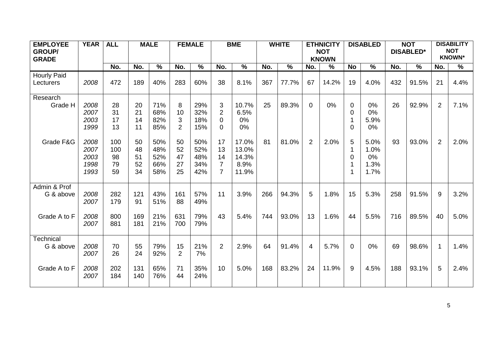| <b>EMPLOYEE</b>    | <b>YEAR</b>  | <b>ALL</b> |          | <b>MALE</b>   | <b>FEMALE</b>       |            |                            | <b>BME</b>    |     | <b>WHITE</b> |                | <b>ETHNICITY</b> |                   | <b>DISABLED</b> |     | <b>NOT</b>       |                | <b>DISABILITY</b> |
|--------------------|--------------|------------|----------|---------------|---------------------|------------|----------------------------|---------------|-----|--------------|----------------|------------------|-------------------|-----------------|-----|------------------|----------------|-------------------|
| <b>GROUP/</b>      |              |            |          |               |                     |            |                            |               |     |              |                | <b>NOT</b>       |                   |                 |     | <b>DISABLED*</b> |                | <b>NOT</b>        |
| <b>GRADE</b>       |              |            |          |               |                     |            |                            |               |     |              |                | <b>KNOWN</b>     |                   |                 |     |                  |                | <b>KNOWN*</b>     |
|                    |              | No.        | No.      | $\frac{9}{6}$ | No.                 | $\%$       | No.                        | $\frac{0}{0}$ | No. | $\%$         | No.            | $\frac{0}{0}$    | <b>No</b>         | $\%$            | No. | $\%$             | No.            | $\%$              |
| <b>Hourly Paid</b> |              |            |          |               |                     |            |                            |               |     |              |                |                  |                   |                 |     |                  |                |                   |
| Lecturers          | 2008         | 472        | 189      | 40%           | 283                 | 60%        | 38                         | 8.1%          | 367 | 77.7%        | 67             | 14.2%            | 19                | 4.0%            | 432 | 91.5%            | 21             | 4.4%              |
|                    |              |            |          |               |                     |            |                            |               |     |              |                |                  |                   |                 |     |                  |                |                   |
| Research           |              |            |          |               |                     |            |                            |               |     |              |                |                  |                   |                 |     |                  |                |                   |
| Grade H            | 2008         | 28         | 20       | 71%           | 8                   | 29%        | 3                          | 10.7%         | 25  | 89.3%        | $\mathbf 0$    | 0%               | $\mathbf 0$       | 0%              | 26  | 92.9%            | $\overline{2}$ | 7.1%              |
|                    | 2007         | 31         | 21<br>14 | 68%           | 10                  | 32%        | $\overline{2}$             | 6.5%          |     |              |                |                  | $\overline{0}$    | 0%              |     |                  |                |                   |
|                    | 2003<br>1999 | 17<br>13   | 11       | 82%<br>85%    | 3<br>$\overline{2}$ | 18%<br>15% | $\mathbf 0$<br>$\mathbf 0$ | 0%<br>0%      |     |              |                |                  | $\mathbf{1}$<br>0 | 5.9%<br>0%      |     |                  |                |                   |
|                    |              |            |          |               |                     |            |                            |               |     |              |                |                  |                   |                 |     |                  |                |                   |
| Grade F&G          | 2008         | 100        | 50       | 50%           | 50                  | 50%        | 17                         | 17.0%         | 81  | 81.0%        | $\overline{2}$ | 2.0%             | 5                 | 5.0%            | 93  | 93.0%            | $\overline{2}$ | 2.0%              |
|                    | 2007         | 100        | 48       | 48%           | 52                  | 52%        | 13                         | 13.0%         |     |              |                |                  | $\mathbf 1$       | 1.0%            |     |                  |                |                   |
|                    | 2003         | 98         | 51       | 52%           | 47                  | 48%        | 14                         | 14.3%         |     |              |                |                  | 0                 | 0%              |     |                  |                |                   |
|                    | 1998         | 79         | 52       | 66%           | 27                  | 34%        | $\overline{7}$             | 8.9%          |     |              |                |                  | $\mathbf{1}$      | 1.3%            |     |                  |                |                   |
|                    | 1993         | 59         | 34       | 58%           | 25                  | 42%        | $\overline{7}$             | 11.9%         |     |              |                |                  | $\mathbf{1}$      | 1.7%            |     |                  |                |                   |
|                    |              |            |          |               |                     |            |                            |               |     |              |                |                  |                   |                 |     |                  |                |                   |
| Admin & Prof       |              |            |          |               |                     |            |                            |               |     |              |                |                  |                   |                 |     |                  |                |                   |
| G & above          | 2008         | 282        | 121      | 43%           | 161                 | 57%        | 11                         | 3.9%          | 266 | 94.3%        | 5              | 1.8%             | 15                | 5.3%            | 258 | 91.5%            | 9              | 3.2%              |
|                    | 2007         | 179        | 91       | 51%           | 88                  | 49%        |                            |               |     |              |                |                  |                   |                 |     |                  |                |                   |
| Grade A to F       | 2008         | 800        | 169      | 21%           | 631                 | 79%        | 43                         | 5.4%          | 744 | 93.0%        | 13             | 1.6%             | 44                | 5.5%            | 716 | 89.5%            | 40             | 5.0%              |
|                    | 2007         | 881        | 181      | 21%           | 700                 | 79%        |                            |               |     |              |                |                  |                   |                 |     |                  |                |                   |
|                    |              |            |          |               |                     |            |                            |               |     |              |                |                  |                   |                 |     |                  |                |                   |
| Technical          |              |            |          |               |                     |            |                            |               |     |              |                |                  |                   |                 |     |                  |                |                   |
| G & above          | 2008         | 70         | 55       | 79%           | 15                  | 21%        | $\overline{2}$             | 2.9%          | 64  | 91.4%        | $\overline{4}$ | 5.7%             | $\mathbf 0$       | 0%              | 69  | 98.6%            | $\mathbf{1}$   | 1.4%              |
|                    | 2007         | 26         | 24       | 92%           | $\overline{2}$      | 7%         |                            |               |     |              |                |                  |                   |                 |     |                  |                |                   |
|                    |              |            |          |               |                     |            |                            |               |     |              |                |                  |                   |                 |     |                  |                |                   |
| Grade A to F       | 2008         | 202        | 131      | 65%           | 71                  | 35%        | 10                         | 5.0%          | 168 | 83.2%        | 24             | 11.9%            | 9                 | 4.5%            | 188 | 93.1%            | 5              | 2.4%              |
|                    | 2007         | 184        | 140      | 76%           | 44                  | 24%        |                            |               |     |              |                |                  |                   |                 |     |                  |                |                   |
|                    |              |            |          |               |                     |            |                            |               |     |              |                |                  |                   |                 |     |                  |                |                   |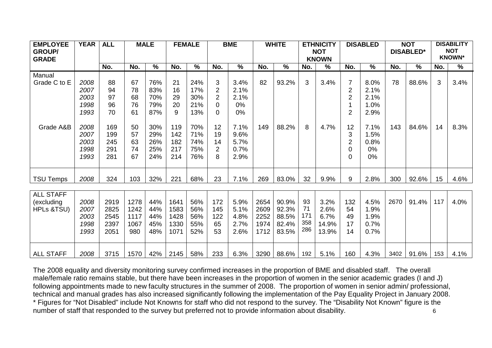| <b>EMPLOYEE</b><br><b>GROUP/</b> | <b>YEAR</b> | <b>ALL</b> |      | <b>MALE</b>              |      | <b>FEMALE</b> |                | <b>BME</b>    |      | <b>WHITE</b>  |     | <b>ETHNICITY</b><br><b>NOT</b> |                | <b>DISABLED</b>          |      | <b>NOT</b><br><b>DISABLED*</b> |     | <b>DISABILITY</b><br><b>NOT</b> |
|----------------------------------|-------------|------------|------|--------------------------|------|---------------|----------------|---------------|------|---------------|-----|--------------------------------|----------------|--------------------------|------|--------------------------------|-----|---------------------------------|
| <b>GRADE</b>                     |             |            |      |                          |      |               |                |               |      |               |     | <b>KNOWN</b>                   |                |                          |      |                                |     | <b>KNOWN*</b>                   |
|                                  |             | No.        | No.  | $\overline{\frac{9}{6}}$ | No.  | $\frac{0}{0}$ | No.            | $\frac{0}{0}$ | No.  | $\frac{0}{0}$ | No. | $\frac{0}{0}$                  | No.            | $\overline{\frac{9}{6}}$ | No.  | $\frac{0}{0}$                  | No. | $\%$                            |
| Manual                           |             |            |      |                          |      |               |                |               |      |               |     |                                |                |                          |      |                                |     |                                 |
| Grade C to E                     | 2008        | 88         | 67   | 76%                      | 21   | 24%           | 3              | 3.4%          | 82   | 93.2%         | 3   | 3.4%                           | $\overline{7}$ | 8.0%                     | 78   | 88.6%                          | 3   | 3.4%                            |
|                                  | 2007        | 94         | 78   | 83%                      | 16   | 17%           | 2              | 2.1%          |      |               |     |                                | $\overline{2}$ | 2.1%                     |      |                                |     |                                 |
|                                  | 2003        | 97         | 68   | 70%                      | 29   | 30%           | $\overline{2}$ | 2.1%          |      |               |     |                                | $\overline{2}$ | 2.1%                     |      |                                |     |                                 |
|                                  | 1998        | 96         | 76   | 79%                      | 20   | 21%           | 0              | 0%            |      |               |     |                                |                | 1.0%                     |      |                                |     |                                 |
|                                  | 1993        | 70         | 61   | 87%                      | 9    | 13%           | 0              | $0\%$         |      |               |     |                                | $\overline{2}$ | 2.9%                     |      |                                |     |                                 |
|                                  |             |            |      |                          |      |               |                |               |      |               |     |                                |                |                          |      |                                |     |                                 |
| Grade A&B                        | 2008        | 169        | 50   | 30%                      | 119  | 70%           | 12             | 7.1%          | 149  | 88.2%         | 8   | 4.7%                           | 12             | 7.1%                     | 143  | 84.6%                          | 14  | 8.3%                            |
|                                  | 2007        | 199        | 57   | 29%                      | 142  | 71%           | 19             | 9.6%          |      |               |     |                                | 3              | 1.5%                     |      |                                |     |                                 |
|                                  | 2003        | 245        | 63   | 26%                      | 182  | 74%           | 14             | 5.7%          |      |               |     |                                | $\overline{2}$ | 0.8%                     |      |                                |     |                                 |
|                                  | 1998        | 291        | 74   | 25%                      | 217  | 75%           | 2              | 0.7%          |      |               |     |                                | 0              | 0%                       |      |                                |     |                                 |
|                                  | 1993        | 281        | 67   | 24%                      | 214  | 76%           | 8              | 2.9%          |      |               |     |                                | 0              | 0%                       |      |                                |     |                                 |
|                                  |             |            |      |                          |      |               |                |               |      |               |     |                                |                |                          |      |                                |     |                                 |
| <b>TSU Temps</b>                 | 2008        | 324        | 103  | 32%                      | 221  | 68%           | 23             | 7.1%          | 269  | 83.0%         | 32  | 9.9%                           | $9\,$          | 2.8%                     | 300  | 92.6%                          | 15  | 4.6%                            |
|                                  |             |            |      |                          |      |               |                |               |      |               |     |                                |                |                          |      |                                |     |                                 |
| <b>ALL STAFF</b>                 |             |            |      |                          |      |               |                |               |      |               |     |                                |                |                          |      |                                |     |                                 |
| (excluding                       | 2008        | 2919       | 1278 | 44%                      | 1641 | 56%           | 172            | 5.9%          | 2654 | 90.9%         | 93  | 3.2%                           | 132            | 4.5%                     | 2670 | 91.4%                          | 117 | 4.0%                            |
| HPLs &TSU)                       | 2007        | 2825       | 1242 | 44%                      | 1583 | 56%           | 145            | 5.1%          | 2609 | 92.3%         | 71  | 2.6%                           | 54             | 1.9%                     |      |                                |     |                                 |
|                                  | 2003        | 2545       | 1117 | 44%                      | 1428 | 56%           | 122            | 4.8%          | 2252 | 88.5%         | 171 | 6.7%                           | 49             | 1.9%                     |      |                                |     |                                 |
|                                  | 1998        | 2397       | 1067 | 45%                      | 1330 | 55%           | 65             | 2.7%          | 1974 | 82.4%         | 358 | 14.9%                          | 17             | 0.7%                     |      |                                |     |                                 |
|                                  | 1993        | 2051       | 980  | 48%                      | 1071 | 52%           | 53             | 2.6%          | 1712 | 83.5%         | 286 | 13.9%                          | 14             | 0.7%                     |      |                                |     |                                 |
|                                  |             |            |      |                          |      |               |                |               |      |               |     |                                |                |                          |      |                                |     |                                 |
| <b>ALL STAFF</b>                 | 2008        | 3715       | 1570 | 42%                      | 2145 | 58%           | 233            | 6.3%          | 3290 | 88.6%         | 192 | 5.1%                           | 160            | 4.3%                     | 3402 | 91.6%                          | 153 | 4.1%                            |

The 2008 equality and diversity monitoring survey confirmed increases in the proportion of BME and disabled staff. The overall male/female ratio remains stable, but there have been increases in the proportion of women in the senior academic grades (I and J) following appointments made to new faculty structures in the summer of 2008. The proportion of women in senior admin/ professional, technical and manual grades has also increased significantly following the implementation of the Pay Equality Project in January 2008. \* Figures for "Not Disabled" include Not Knowns for staff who did not respond to the survey. The "Disability Not Known" figure is the number of staff that responded to the survey but preferred not to provide information about disability. <sup>6</sup>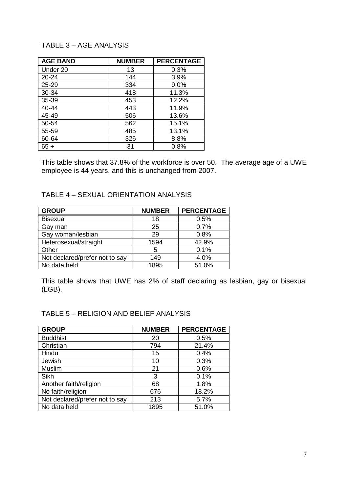# TABLE 3 – AGE ANALYSIS

| <b>AGE BAND</b> | <b>NUMBER</b> | <b>PERCENTAGE</b> |
|-----------------|---------------|-------------------|
| Under 20        | 13            | 0.3%              |
| $20 - 24$       | 144           | 3.9%              |
| $25 - 29$       | 334           | 9.0%              |
| 30-34           | 418           | 11.3%             |
| 35-39           | 453           | 12.2%             |
| 40-44           | 443           | 11.9%             |
| 45-49           | 506           | 13.6%             |
| 50-54           | 562           | 15.1%             |
| 55-59           | 485           | 13.1%             |
| 60-64           | 326           | 8.8%              |
| $65 +$          | 31            | 0.8%              |

This table shows that 37.8% of the workforce is over 50. The average age of a UWE employee is 44 years, and this is unchanged from 2007.

### TABLE 4 – SEXUAL ORIENTATION ANALYSIS

| <b>GROUP</b>                   | <b>NUMBER</b> | <b>PERCENTAGE</b> |
|--------------------------------|---------------|-------------------|
| <b>Bisexual</b>                | 18            | 0.5%              |
| Gay man                        | 25            | 0.7%              |
| Gay woman/lesbian              | 29            | 0.8%              |
| Heterosexual/straight          | 1594          | 42.9%             |
| Other                          | 5             | 0.1%              |
| Not declared/prefer not to say | 149           | 4.0%              |
| No data held                   | 1895          | 51.0%             |

This table shows that UWE has 2% of staff declaring as lesbian, gay or bisexual (LGB).

### TABLE 5 – RELIGION AND BELIEF ANALYSIS

| <b>GROUP</b>                   | <b>NUMBER</b> | <b>PERCENTAGE</b> |
|--------------------------------|---------------|-------------------|
| <b>Buddhist</b>                | 20            | 0.5%              |
| Christian                      | 794           | 21.4%             |
| Hindu                          | 15            | 0.4%              |
| Jewish                         | 10            | 0.3%              |
| Muslim                         | 21            | 0.6%              |
| Sikh                           | 3             | 0.1%              |
| Another faith/religion         | 68            | 1.8%              |
| No faith/religion              | 676           | 18.2%             |
| Not declared/prefer not to say | 213           | 5.7%              |
| No data held                   | 1895          | 51.0%             |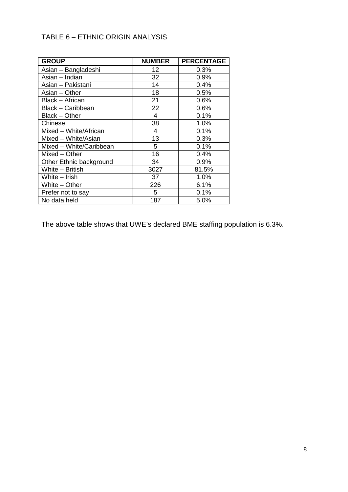# TABLE 6 – ETHNIC ORIGIN ANALYSIS

| <b>GROUP</b>            | <b>NUMBER</b> | <b>PERCENTAGE</b> |
|-------------------------|---------------|-------------------|
| Asian - Bangladeshi     | 12            | 0.3%              |
| Asian - Indian          | 32            | 0.9%              |
| Asian - Pakistani       | 14            | 0.4%              |
| Asian - Other           | 18            | 0.5%              |
| Black - African         | 21            | 0.6%              |
| Black - Caribbean       | 22            | 0.6%              |
| Black - Other           | 4             | 0.1%              |
| Chinese                 | 38            | 1.0%              |
| Mixed - White/African   | 4             | 0.1%              |
| Mixed - White/Asian     | 13            | 0.3%              |
| Mixed - White/Caribbean | 5             | 0.1%              |
| Mixed - Other           | 16            | 0.4%              |
| Other Ethnic background | 34            | 0.9%              |
| White - British         | 3027          | 81.5%             |
| White - Irish           | 37            | 1.0%              |
| White - Other           | 226           | 6.1%              |
| Prefer not to say       | 5             | 0.1%              |
| No data held            | 187           | 5.0%              |

The above table shows that UWE's declared BME staffing population is 6.3%.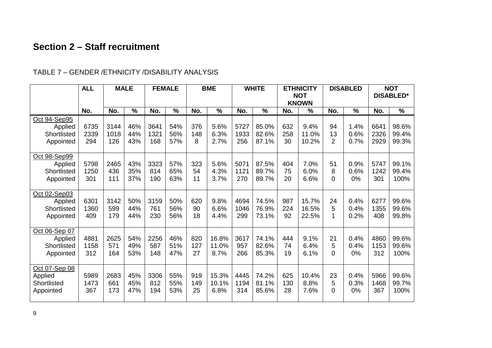# **Section 2 – Staff recruitment**

### **ALL MALE FEMALE BME WHITE ETHNICITY NOTKNOWNDISABLED NOT DISABLED\*No. No. % No. % No. % No. % No. % No. % No. %** <u>Oct 94-Sep95</u> Applied **Shortlisted** Appointed 673523392943144101812646%44%43%3641132116854%56%57%37614885.6%6.3%2.7%5727193325685.0%82.6%87.1%632258309.4%11.0%10.2%941321.4%0.6%0.7%66412326292998.6%99.4%99.3%<u> Oct 98-Sep99</u> Applied Shortlisted Appointed 57981250 301246543611143%35%37%332381419057%65%63%32354115.6%4.3%3.7%50711121 27087.5%89.7%89.7%40475207.0%6.0%6.6%518 $\Omega$ 0.9%0.6%0%57471242 30199.1%99.4%100%<u>Oct 02-Sep03</u> Applied **Shortlisted** Appointed 63011360409314259917950%44%44%315976123050%56%56%62090189.8%6.6%4.4%4694104629974.5%76.9%73.1%9872249215.7%16.5%22.5%24510.4%0.4%0.2%6277135540899.6%99.6%99.8%<u>Oct 06-Sep 07</u> Applied **Shortlisted** Appointed 48811158312262557116454%49%53%225658714846%51%47%8201272716.8%11.0%8.7%361795726674.1%82.6%85.3%44474199.1%6.4%6.1%215 $\Omega$ 0.4%0.4%0%4860115331299.6%99.6%100%<u>Oct 07-Sep 08</u> Applied **Shortlisted** Appointed 59891473367268366117345%45%47%330681219455%55%53%9191492515.3%10.1%6.8%4445119431474.2%81.1%85.6%6251302810.4%8.8%7.6%235 $\Omega$ 0.4%0.3%0%5966146836799.6%99.7%100%

# TABLE 7 – GENDER /ETHNICITY /DISABILITY ANALYSIS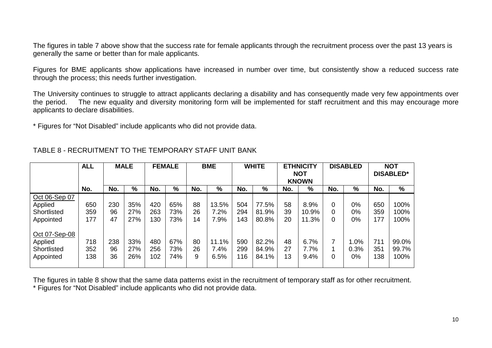The figures in table 7 above show that the success rate for female applicants through the recruitment process over the past 13 years is generally the same or better than for male applicants.

Figures for BME applicants show applications have increased in number over time, but consistently show <sup>a</sup> reduced success rate through the process; this needs further investigation.

The University continues to struggle to attract applicants declaring <sup>a</sup> disability and has consequently made very few appointments over the period. The new equality and diversity monitoring form will be implemented for staff recruitment and this may encourage more applicants to declare disabilities.

\* Figures for "Not Disabled" include applicants who did not provide data.

|               | <b>ALL</b> |     | <b>MALE</b> |     |     |     |       |     |       |     |       |     | <b>FEMALE</b> |     |       | <b>BME</b> |  | <b>WHITE</b> |  | <b>ETHNICITY</b> | <b>DISABLED</b> |  | <b>NOT</b> |  |  |  |  |  |  |  |                  |
|---------------|------------|-----|-------------|-----|-----|-----|-------|-----|-------|-----|-------|-----|---------------|-----|-------|------------|--|--------------|--|------------------|-----------------|--|------------|--|--|--|--|--|--|--|------------------|
|               |            |     |             |     |     |     |       |     |       |     |       |     | <b>KNOWN</b>  |     |       |            |  |              |  |                  | <b>NOT</b>      |  |            |  |  |  |  |  |  |  | <b>DISABLED*</b> |
|               | No.        | No. | %           | No. | %   | No. | %     | No. | %     | No. | %     | No. | %             | No. | %     |            |  |              |  |                  |                 |  |            |  |  |  |  |  |  |  |                  |
| Oct 06-Sep 07 |            |     |             |     |     |     |       |     |       |     |       |     |               |     |       |            |  |              |  |                  |                 |  |            |  |  |  |  |  |  |  |                  |
| Applied       | 650        | 230 | 35%         | 420 | 65% | 88  | 13.5% | 504 | 77.5% | 58  | 8.9%  |     | 0%            | 650 | 100%  |            |  |              |  |                  |                 |  |            |  |  |  |  |  |  |  |                  |
| Shortlisted   | 359        | 96  | 27%         | 263 | 73% | 26  | 7.2%  | 294 | 81.9% | 39  | 10.9% |     | 0%            | 359 | 100%  |            |  |              |  |                  |                 |  |            |  |  |  |  |  |  |  |                  |
| Appointed     | 177        | 47  | 27%         | 130 | 73% | 14  | 7.9%  | 143 | 80.8% | 20  | 11.3% |     | 0%            | 177 | 100%  |            |  |              |  |                  |                 |  |            |  |  |  |  |  |  |  |                  |
| Oct 07-Sep-08 |            |     |             |     |     |     |       |     |       |     |       |     |               |     |       |            |  |              |  |                  |                 |  |            |  |  |  |  |  |  |  |                  |
| Applied       | 718        | 238 | 33%         | 480 | 67% | 80  | 11.1% | 590 | 82.2% | 48  | 6.7%  |     | 1.0%          | 711 | 99.0% |            |  |              |  |                  |                 |  |            |  |  |  |  |  |  |  |                  |
| Shortlisted   | 352        | 96  | 27%         | 256 | 73% | 26  | 7.4%  | 299 | 84.9% | 27  | 7.7%  |     | 0.3%          | 351 | 99.7% |            |  |              |  |                  |                 |  |            |  |  |  |  |  |  |  |                  |
| Appointed     | 138        | 36  | 26%         | 102 | 74% | 9   | 6.5%  | 116 | 84.1% | 13  | 9.4%  |     | 0%            | 138 | 100%  |            |  |              |  |                  |                 |  |            |  |  |  |  |  |  |  |                  |
|               |            |     |             |     |     |     |       |     |       |     |       |     |               |     |       |            |  |              |  |                  |                 |  |            |  |  |  |  |  |  |  |                  |

TABLE 8 - RECRUITMENT TO THE TEMPORARY STAFF UNIT BANK

The figures in table 8 show that the same data patterns exist in the recruitment of temporary staff as for other recruitment. \* Figures for "Not Disabled" include applicants who did not provide data.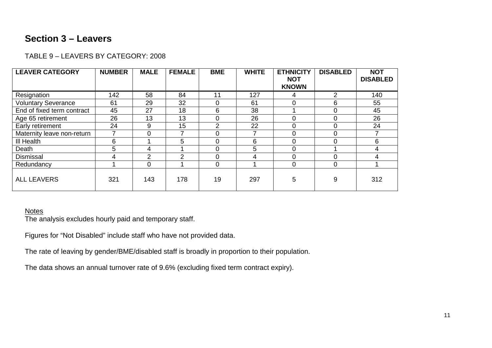# **Section 3 – Leavers**

| TABLE 9 – LEAVERS BY CATEGORY: 2008 |  |
|-------------------------------------|--|
|                                     |  |

| <b>LEAVER CATEGORY</b>     | <b>NUMBER</b> | <b>MALE</b>    | <b>FEMALE</b>  | <b>BME</b>     | <b>WHITE</b> | <b>ETHNICITY</b><br><b>NOT</b> | <b>DISABLED</b> | <b>NOT</b><br><b>DISABLED</b> |
|----------------------------|---------------|----------------|----------------|----------------|--------------|--------------------------------|-----------------|-------------------------------|
|                            |               |                |                |                |              | <b>KNOWN</b>                   |                 |                               |
| Resignation                | 142           | 58             | 84             | 11             | 127          | 4                              | 2               | 140                           |
| <b>Voluntary Severance</b> | 61            | 29             | 32             | $\Omega$       | 61           | 0                              | 6               | 55                            |
| End of fixed term contract | 45            | 27             | 18             | 6              | 38           |                                | 0               | 45                            |
| Age 65 retirement          | 26            | 13             | 13             | $\Omega$       | 26           | 0                              | $\Omega$        | 26                            |
| Early retirement           | 24            | 9              | 15             | $\overline{2}$ | 22           | 0                              | 0               | 24                            |
| Maternity leave non-return |               | 0              |                | $\Omega$       |              | $\Omega$                       | $\Omega$        |                               |
| III Health                 | 6             |                | 5              | $\Omega$       | 6            | $\Omega$                       | $\Omega$        | 6                             |
| Death                      | 5             | 4              |                | $\Omega$       | 5            | 0                              |                 | 4                             |
| <b>Dismissal</b>           |               | $\overline{2}$ | $\mathfrak{p}$ | $\Omega$       | 4            | $\overline{0}$                 | $\Omega$        | 4                             |
| Redundancy                 |               | $\overline{0}$ |                | $\Omega$       |              | 0                              | 0               |                               |
| <b>ALL LEAVERS</b>         | 321           | 143            | 178            | 19             | 297          | 5                              | 9               | 312                           |

### **Notes**

The analysis excludes hourly paid and temporary staff.

Figures for "Not Disabled" include staff who have not provided data.

The rate of leaving by gender/BME/disabled staff is broadly in proportion to their population.

The data shows an annual turnover rate of 9.6% (excluding fixed term contract expiry).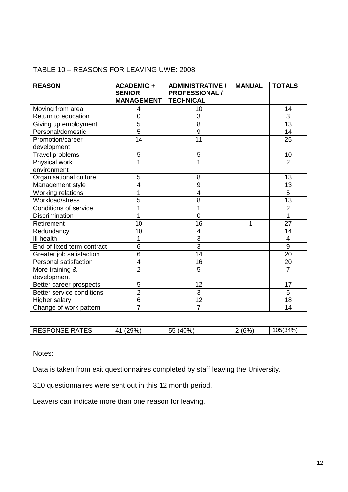# TABLE 10 – REASONS FOR LEAVING UWE: 2008

| <b>REASON</b>                | <b>ACADEMIC +</b><br><b>SENIOR</b><br><b>MANAGEMENT</b> | <b>ADMINISTRATIVE /</b><br><b>PROFESSIONAL /</b><br><b>TECHNICAL</b> | <b>MANUAL</b> | <b>TOTALS</b>   |
|------------------------------|---------------------------------------------------------|----------------------------------------------------------------------|---------------|-----------------|
| Moving from area             | 4                                                       | 10                                                                   |               | 14              |
| Return to education          | $\overline{0}$                                          | 3                                                                    |               | 3               |
| Giving up employment         | $\overline{5}$                                          | $\overline{8}$                                                       |               | $\overline{13}$ |
| Personal/domestic            | $\overline{5}$                                          | $9\,$                                                                |               | 14              |
| Promotion/career             | $\overline{14}$                                         | $\overline{11}$                                                      |               | 25              |
| development                  |                                                         |                                                                      |               |                 |
| Travel problems              | 5                                                       | 5                                                                    |               | 10              |
| Physical work                | 1                                                       | $\overline{1}$                                                       |               | $\overline{2}$  |
| environment                  |                                                         |                                                                      |               |                 |
| Organisational culture       | 5                                                       | 8                                                                    |               | 13              |
| Management style             | 4                                                       | 9                                                                    |               | 13              |
| Working relations            |                                                         | $\overline{4}$                                                       |               | $\overline{5}$  |
| Workload/stress              | 5                                                       | 8                                                                    |               | 13              |
| <b>Conditions of service</b> |                                                         | 1                                                                    |               | $\overline{2}$  |
| <b>Discrimination</b>        | 1                                                       | $\overline{0}$                                                       |               | $\overline{1}$  |
| Retirement                   | 10                                                      | 16                                                                   | 1             | $\overline{27}$ |
| Redundancy                   | 10                                                      | $\overline{4}$                                                       |               | 14              |
| III health                   | 1                                                       | 3                                                                    |               | 4               |
| End of fixed term contract   | 6                                                       | 3                                                                    |               | $\overline{9}$  |
| Greater job satisfaction     | $\overline{6}$                                          | 14                                                                   |               | $\overline{20}$ |
| <b>Personal satisfaction</b> | 4                                                       | 16                                                                   |               | 20              |
| More training &              | $\overline{2}$                                          | 5                                                                    |               | $\overline{7}$  |
| development                  |                                                         |                                                                      |               |                 |
| Better career prospects      | 5                                                       | 12                                                                   |               | 17              |
| Better service conditions    | $\overline{2}$                                          | $\overline{3}$                                                       |               | 5               |
| Higher salary                | 6                                                       | 12                                                                   |               | 18              |
| Change of work pattern       | $\overline{7}$                                          | $\overline{7}$                                                       |               | 14              |

| ES.<br>DE.<br>$\Lambda^{\prime}$<br><u>ეფ%, </u><br>ות ר<br>:SPONS<br>--<br>$\mathbf{r}$<br>R A<br>↖∟ | $^{\circ}$ $\frac{1}{2}$ $\frac{1}{2}$<br>--<br><u>__</u><br>ບປ | ' ' | $^{\prime}34\%$<br>۸۵ |
|-------------------------------------------------------------------------------------------------------|-----------------------------------------------------------------|-----|-----------------------|

Notes:

Data is taken from exit questionnaires completed by staff leaving the University.

310 questionnaires were sent out in this 12 month period.

Leavers can indicate more than one reason for leaving.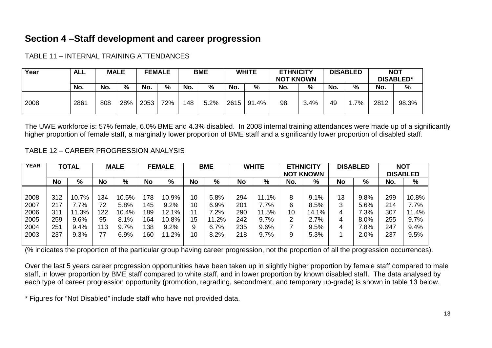# **Section 4 –Staff development and career progression**

| Year | ALL  |     | <b>MALE</b> |      | <b>FEMALE</b> | <b>BME</b> |               | <b>WHITE</b> |       | <b>ETHNICITY</b><br><b>NOT KNOWN</b> |      | <b>DISABLED</b> |    | <b>NOT</b><br><b>DISABLED*</b> |               |
|------|------|-----|-------------|------|---------------|------------|---------------|--------------|-------|--------------------------------------|------|-----------------|----|--------------------------------|---------------|
|      | No.  | No. | %           | No.  | %             | No.        | $\frac{0}{0}$ | No.          | %     | No.                                  | %    | No.             | %  | No.                            | $\frac{0}{0}$ |
| 2008 | 2861 | 808 | 28%         | 2053 | 72%           | 148        | 5.2%          | 2615         | 91.4% | 98                                   | 3.4% | 49              | 7% | 2812                           | 98.3%         |

TABLE 11 – INTERNAL TRAINING ATTENDANCES

The UWE workforce is: 57% female, 6.0% BME and 4.3% disabled. In 2008 internal training attendances were made up of <sup>a</sup> significantly higher proportion of female staff, <sup>a</sup> marginally lower proportion of BME staff and <sup>a</sup> significantly lower proportion of disabled staff.

TABLE 12 – CAREER PROGRESSION ANALYSIS

| <b>YEAR</b> |           | <b>TOTAL</b> |     | <b>MALE</b> |           | <b>FEMALE</b> |    | <b>BME</b> |           | <b>WHITE</b> | <b>ETHNICITY</b> |                  |           | <b>DISABLED</b> |     | <b>NOT</b>      |
|-------------|-----------|--------------|-----|-------------|-----------|---------------|----|------------|-----------|--------------|------------------|------------------|-----------|-----------------|-----|-----------------|
|             |           |              |     |             |           |               |    |            |           |              |                  | <b>NOT KNOWN</b> |           |                 |     | <b>DISABLED</b> |
|             | <b>No</b> | %            | No  | %           | <b>No</b> | %             | No | %          | <b>No</b> | %            | No.              | %                | <b>No</b> | %               | No. | %               |
|             |           |              |     |             |           |               |    |            |           |              |                  |                  |           |                 |     |                 |
| 2008        | 312       | 10.7%        | 134 | 10.5%       | 178       | 10.9%         | 10 | 5.8%       | 294       | 11.1%        | 8                | 9.1%             | 13        | 9.8%            | 299 | 10.8%           |
| 2007        | 217       | $7.7\%$      | 72  | 5.8%        | 145       | 9.2%          | 10 | 6.9%       | 201       | 7.7%         | 6                | 8.5%             | 3         | 5.6%            | 214 | 7.7%            |
| 2006        | 311       | 11.3%        | 122 | 10.4%       | 189       | 12.1%         |    | $2\%$      | 290       | 11.5%        | 10               | 14.1%            | 4         | $7.3\%$         | 307 | 11.4%           |
| 2005        | 259       | 9.6%         | 95  | 8.1%        | 164       | 10.8%         | 15 | $.2\%$     | 242       | 9.7%         | 2                | 2.7%             | 4         | 8.0%            | 255 | 9.7%            |
| 2004        | 251       | 9.4%         | 113 | 9.7%        | 138       | 9.2%          | 9  | 6.7%       | 235       | 9.6%         |                  | 9.5%             | 4         | 7.8%            | 247 | 9.4%            |
| 2003        | 237       | 9.3%         | 77  | 6.9%        | 160       | 11.2%         | 10 | 8.2%       | 218       | 9.7%         | 9                | 5.3%             |           | 2.0%            | 237 | 9.5%            |
|             |           |              |     |             |           |               |    |            |           |              |                  |                  |           |                 |     |                 |

(% indicates the proportion of the particular group having career progression, not the proportion of all the progression occurrences).

Over the last 5 years career progression opportunities have been taken up in slightly higher proportion by female staff compared to male staff, in lower proportion by BME staff compared to white staff, and in lower proportion by known disabled staff. The data analysed by each type of career progression opportunity (promotion, regrading, secondment, and temporary up-grade) is shown in table 13 below.

\* Figures for "Not Disabled" include staff who have not provided data.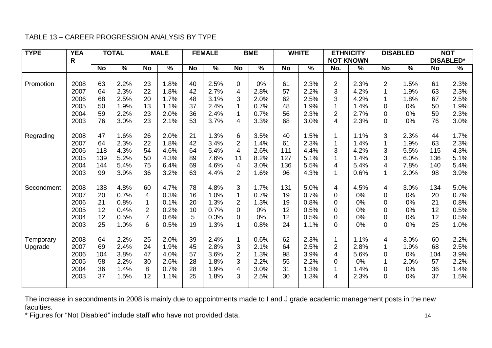# TABLE 13 – CAREER PROGRESSION ANALYSIS BY TYPE

| <b>TYPE</b>          | <b>YEA</b><br>R                              |                                     | <b>TOTAL</b>                                 |                                                               | <b>MALE</b>                                  |                                  | <b>FEMALE</b>                                |                                                                                                   | <b>BME</b>                                   |                                     | <b>WHITE</b>                                 |                                                                  | <b>ETHNICITY</b><br><b>NOT KNOWN</b>         |                                                                              | <b>DISABLED</b>                              |                                     | <b>NOT</b><br><b>DISABLED*</b>               |
|----------------------|----------------------------------------------|-------------------------------------|----------------------------------------------|---------------------------------------------------------------|----------------------------------------------|----------------------------------|----------------------------------------------|---------------------------------------------------------------------------------------------------|----------------------------------------------|-------------------------------------|----------------------------------------------|------------------------------------------------------------------|----------------------------------------------|------------------------------------------------------------------------------|----------------------------------------------|-------------------------------------|----------------------------------------------|
|                      |                                              | <b>No</b>                           | $\frac{0}{0}$                                | <b>No</b>                                                     | $\%$                                         | <b>No</b>                        | %                                            | <b>No</b>                                                                                         | $\%$                                         | <b>No</b>                           | $\%$                                         | No.                                                              | $\%$                                         | <b>No</b>                                                                    | $\%$                                         | <b>No</b>                           | $\%$                                         |
| Promotion            | 2008<br>2007<br>2006<br>2005<br>2004<br>2003 | 63<br>64<br>68<br>50<br>59<br>76    | 2.2%<br>2.3%<br>2.5%<br>1.9%<br>2.2%<br>3.0% | 23<br>22<br>20<br>13<br>23<br>23                              | 1.8%<br>1.8%<br>1.7%<br>1.1%<br>2.0%<br>2.1% | 40<br>42<br>48<br>37<br>36<br>53 | 2.5%<br>2.7%<br>3.1%<br>2.4%<br>2.4%<br>3.7% | 0<br>4<br>3<br>$\overline{4}$                                                                     | 0%<br>2.8%<br>2.0%<br>0.7%<br>0.7%<br>3.3%   | 61<br>57<br>62<br>48<br>56<br>68    | 2.3%<br>2.2%<br>2.5%<br>1.9%<br>2.3%<br>3.0% | $\overline{2}$<br>3<br>3<br>$\overline{2}$<br>4                  | 2.3%<br>4.2%<br>4.2%<br>1.4%<br>2.7%<br>2.3% | $\overline{2}$<br>1<br>$\mathbf{1}$<br>$\pmb{0}$<br>$\pmb{0}$<br>$\mathbf 0$ | 1.5%<br>1.9%<br>1.8%<br>0%<br>0%<br>0%       | 61<br>63<br>67<br>50<br>59<br>76    | 2.3%<br>2.3%<br>2.5%<br>1.9%<br>2.3%<br>3.0% |
| Regrading            | 2008<br>2007<br>2006<br>2005<br>2004<br>2003 | 47<br>64<br>118<br>139<br>144<br>99 | 1.6%<br>2.3%<br>4.3%<br>5.2%<br>5.4%<br>3.9% | 26<br>22<br>54<br>50<br>75<br>36                              | 2.0%<br>1.8%<br>4.6%<br>4.3%<br>6.4%<br>3.2% | 21<br>42<br>64<br>89<br>69<br>63 | 1.3%<br>3.4%<br>5.4%<br>7.6%<br>4.6%<br>4.4% | 6<br>$\overline{2}$<br>$\overline{\mathbf{4}}$<br>11<br>$\overline{\mathbf{4}}$<br>$\overline{2}$ | 3.5%<br>1.4%<br>2.6%<br>8.2%<br>3.0%<br>1.6% | 40<br>61<br>111<br>127<br>136<br>96 | 1.5%<br>2.3%<br>4.4%<br>5.1%<br>5.5%<br>4.3% | 3<br>4<br>$\mathbf{1}$                                           | 1.1%<br>1.4%<br>4.2%<br>1.4%<br>5.4%<br>0.6% | 3<br>$\overline{1}$<br>3<br>3<br>$\overline{4}$<br>$\mathbf{1}$              | 2.3%<br>1.9%<br>5.5%<br>6.0%<br>7.8%<br>2.0% | 44<br>63<br>115<br>136<br>140<br>98 | 1.7%<br>2.3%<br>4.3%<br>5.1%<br>5.4%<br>3.9% |
| Secondment           | 2008<br>2007<br>2006<br>2005<br>2004<br>2003 | 138<br>20<br>21<br>12<br>12<br>25   | 4.8%<br>0.7%<br>0.8%<br>0.4%<br>0.5%<br>1.0% | 60<br>$\overline{4}$<br>$\overline{2}$<br>$\overline{7}$<br>6 | 4.7%<br>0.3%<br>0.1%<br>0.2%<br>0.6%<br>0.5% | 78<br>16<br>20<br>10<br>5<br>19  | 4.8%<br>1.0%<br>1.3%<br>0.7%<br>0.3%<br>1.3% | 3<br>1<br>$\overline{2}$<br>$\Omega$<br>0<br>1                                                    | 1.7%<br>0.7%<br>1.3%<br>0%<br>0%<br>0.8%     | 131<br>19<br>19<br>12<br>12<br>24   | 5.0%<br>0.7%<br>0.8%<br>0.5%<br>0.5%<br>1.1% | 4<br>$\mathbf 0$<br>0<br>$\mathbf 0$<br>$\pmb{0}$<br>$\mathbf 0$ | 4.5%<br>0%<br>0%<br>0%<br>0%<br>0%           | 4<br>$\pmb{0}$<br>$\pmb{0}$<br>$\pmb{0}$<br>$\pmb{0}$<br>$\pmb{0}$           | 3.0%<br>0%<br>0%<br>0%<br>0%<br>0%           | 134<br>20<br>21<br>12<br>12<br>25   | 5.0%<br>0.7%<br>0.8%<br>0.5%<br>0.5%<br>1.0% |
| Temporary<br>Upgrade | 2008<br>2007<br>2006<br>2005<br>2004<br>2003 | 64<br>69<br>104<br>58<br>36<br>37   | 2.2%<br>2.4%<br>3.8%<br>2.2%<br>1.4%<br>1.5% | 25<br>24<br>47<br>30<br>8<br>12                               | 2.0%<br>1.9%<br>4.0%<br>2.6%<br>0.7%<br>1.1% | 39<br>45<br>57<br>28<br>28<br>25 | 2.4%<br>2.8%<br>3.6%<br>1.8%<br>1.9%<br>1.8% | 1<br>$\mathfrak{S}$<br>$\overline{2}$<br>3<br>4<br>3                                              | 0.6%<br>2.1%<br>1.3%<br>2.2%<br>3.0%<br>2.5% | 62<br>64<br>98<br>55<br>31<br>30    | 2.3%<br>2.5%<br>3.9%<br>2.2%<br>1.3%<br>1.3% | $\overline{2}$<br>4<br>0<br>4                                    | 1.1%<br>2.8%<br>5.6%<br>0%<br>1.4%<br>2.3%   | 4<br>$\mathbf{1}$<br>$\pmb{0}$<br>$\mathbf{1}$<br>$\pmb{0}$<br>$\mathbf 0$   | 3.0%<br>1.9%<br>0%<br>2.0%<br>0%<br>0%       | 60<br>68<br>104<br>57<br>36<br>37   | 2.2%<br>2.5%<br>3.9%<br>2.2%<br>1.4%<br>1.5% |

The increase in secondments in 2008 is mainly due to appointments made to I and J grade academic management posts in the new faculties.

\* Figures for "Not Disabled" include staff who have not provided data. <sup>14</sup>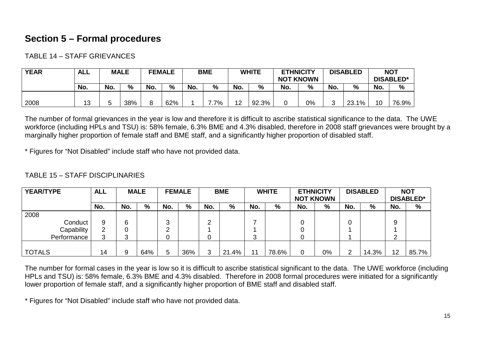# **Section 5 – Formal procedures**

TABLE 14 – STAFF GRIEVANCES

| <b>YEAR</b> | <b>ALL</b> | <b>MALE</b> |     |        | <b>FEMALE</b> | <b>BME</b> |    | <b>WHITE</b> |       | <b>ETHNICITY</b><br><b>NOT KNOWN</b> |    | <b>DISABLED</b> |       | <b>NOT</b><br><b>DISABLED*</b> |               |
|-------------|------------|-------------|-----|--------|---------------|------------|----|--------------|-------|--------------------------------------|----|-----------------|-------|--------------------------------|---------------|
|             | No.        | No.         | %   | No.    | %             | No.        | %  | No.          | %     | No.                                  | %  | No.             | %     | No.                            | $\frac{0}{0}$ |
| 2008        | 13         |             | 38% | Ω<br>O | 62%           |            | 7% | 12           | 92.3% | 0                                    | 0% |                 | 23.1% | 10                             | 76.9%         |

The number of formal grievances in the year is low and therefore it is difficult to ascribe statistical significance to the data. The UWE workforce (including HPLs and TSU) is: 58% female, 6.3% BME and 4.3% disabled, therefore in 2008 staff grievances were brought by <sup>a</sup> marginally higher proportion of female staff and BME staff, and <sup>a</sup> significantly higher proportion of disabled staff.

\* Figures for "Not Disabled" include staff who have not provided data.

### TABLE 15 – STAFF DISCIPLINARIES

| YEAR/TYPE     | <b>ALL</b> |     | <b>MALE</b> |        | <b>FEMALE</b> |        | <b>BME</b> |     | <b>WHITE</b> | <b>ETHNICITY</b> |    |     | <b>DISABLED</b> |        | <b>NOT</b>       |
|---------------|------------|-----|-------------|--------|---------------|--------|------------|-----|--------------|------------------|----|-----|-----------------|--------|------------------|
|               |            |     |             |        |               |        |            |     |              | <b>NOT KNOWN</b> |    |     |                 |        | <b>DISABLED*</b> |
|               | No.        | No. | %           | No.    | %             | No.    | %          | No. | %            | No.              | %  | No. | %               | No.    | %                |
| 2008          |            |     |             |        |               |        |            |     |              |                  |    |     |                 |        |                  |
| Conduct       | 9          | 6   |             | ົ<br>v |               | ◠<br>▃ |            |     |              |                  |    |     |                 | 9      |                  |
| Capability    | ົ          |     |             | ◠      |               |        |            |     |              |                  |    |     |                 |        |                  |
| Performance   | ◠          | ≏   |             | 0      |               | u      |            | 3   |              |                  |    |     |                 | ⌒<br>∼ |                  |
|               |            |     |             |        |               |        |            |     |              |                  |    |     |                 |        |                  |
| <b>TOTALS</b> | 14         | 9   | 64%         | 5      | 36%           | 3      | 21.4%      | 11  | 78.6%        |                  | 0% | ົ   | 14.3%           | 12     | 85.7%            |

The number for formal cases in the year is low so it is difficult to ascribe statistical significant to the data. The UWE workforce (including HPLs and TSU) is: 58% female, 6.3% BME and 4.3% disabled. Therefore in 2008 formal procedures were initiated for <sup>a</sup> significantly lower proportion of female staff, and <sup>a</sup> significantly higher proportion of BME staff and disabled staff.

\* Figures for "Not Disabled" include staff who have not provided data.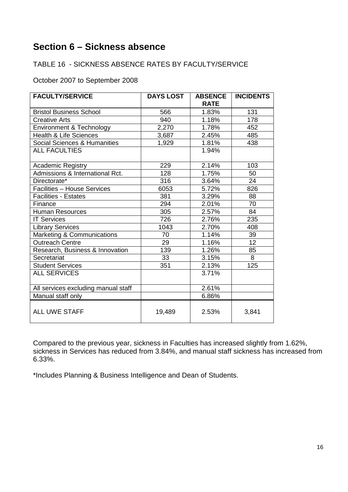# **Section 6 – Sickness absence**

# TABLE 16 - SICKNESS ABSENCE RATES BY FACULTY/SERVICE

October 2007 to September 2008

| <b>FACULTY/SERVICE</b>              | <b>DAYS LOST</b> | <b>ABSENCE</b> | <b>INCIDENTS</b> |
|-------------------------------------|------------------|----------------|------------------|
|                                     |                  | <b>RATE</b>    |                  |
| <b>Bristol Business School</b>      | 566              | 1.83%          | 131              |
| <b>Creative Arts</b>                | 940              | 1.18%          | 178              |
| Environment & Technology            | 2,270            | 1.78%          | 452              |
| <b>Health &amp; Life Sciences</b>   | 3,687            | 2.45%          | 485              |
| Social Sciences & Humanities        | 1,929            | 1.81%          | 438              |
| <b>ALL FACULTIES</b>                |                  | 1.94%          |                  |
|                                     |                  |                |                  |
| Academic Registry                   | 229              | 2.14%          | 103              |
| Admissions & International Rct.     | 128              | 1.75%          | 50               |
| Directorate*                        | 316              | 3.64%          | 24               |
| Facilities - House Services         | 6053             | 5.72%          | 826              |
| <b>Facilities - Estates</b>         | 381              | 3.29%          | 88               |
| Finance                             | 294              | 2.01%          | 70               |
| <b>Human Resources</b>              | 305              | 2.57%          | 84               |
| <b>IT Services</b>                  | 726              | 2.76%          | 235              |
| <b>Library Services</b>             | 1043             | 2.70%          | 408              |
| Marketing & Communications          | 70               | 1.14%          | 39               |
| <b>Outreach Centre</b>              | 29               | 1.16%          | 12               |
| Research, Business & Innovation     | 139              | 1.26%          | 85               |
| Secretariat                         | 33               | 3.15%          | 8                |
| <b>Student Services</b>             | 351              | 2.13%          | 125              |
| <b>ALL SERVICES</b>                 |                  | 3.71%          |                  |
|                                     |                  |                |                  |
| All services excluding manual staff |                  | 2.61%          |                  |
| Manual staff only                   |                  | 6.86%          |                  |
| <b>ALL UWE STAFF</b>                | 19,489           | 2.53%          | 3,841            |

Compared to the previous year, sickness in Faculties has increased slightly from 1.62%, sickness in Services has reduced from 3.84%, and manual staff sickness has increased from 6.33%.

\*Includes Planning & Business Intelligence and Dean of Students.